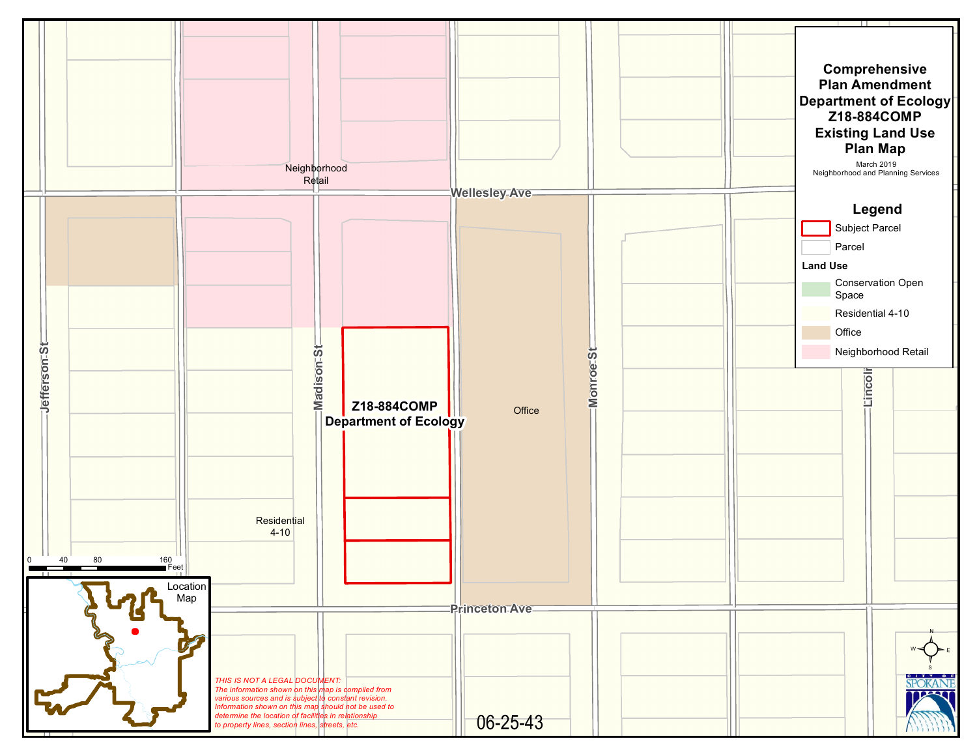